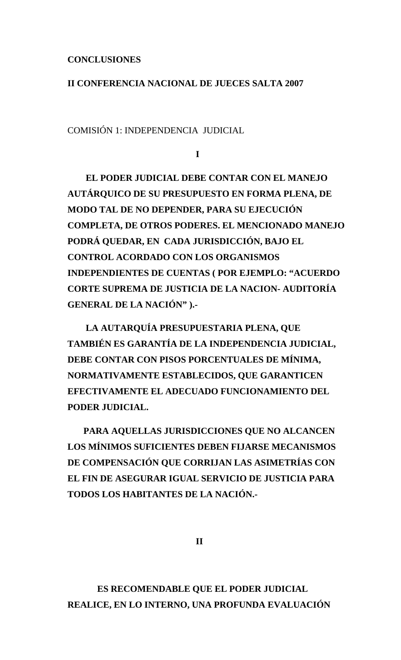## **CONCLUSIONES**

## **II CONFERENCIA NACIONAL DE JUECES SALTA 2007**

COMISIÓN 1: INDEPENDENCIA JUDICIAL

**I** 

 **EL PODER JUDICIAL DEBE CONTAR CON EL MANEJO AUTÁRQUICO DE SU PRESUPUESTO EN FORMA PLENA, DE MODO TAL DE NO DEPENDER, PARA SU EJECUCIÓN COMPLETA, DE OTROS PODERES. EL MENCIONADO MANEJO PODRÁ QUEDAR, EN CADA JURISDICCIÓN, BAJO EL CONTROL ACORDADO CON LOS ORGANISMOS INDEPENDIENTES DE CUENTAS ( POR EJEMPLO: "ACUERDO CORTE SUPREMA DE JUSTICIA DE LA NACION- AUDITORÍA GENERAL DE LA NACIÓN" ).-** 

 **LA AUTARQUÍA PRESUPUESTARIA PLENA, QUE TAMBIÉN ES GARANTÍA DE LA INDEPENDENCIA JUDICIAL, DEBE CONTAR CON PISOS PORCENTUALES DE MÍNIMA, NORMATIVAMENTE ESTABLECIDOS, QUE GARANTICEN EFECTIVAMENTE EL ADECUADO FUNCIONAMIENTO DEL PODER JUDICIAL.** 

 **PARA AQUELLAS JURISDICCIONES QUE NO ALCANCEN LOS MÍNIMOS SUFICIENTES DEBEN FIJARSE MECANISMOS DE COMPENSACIÓN QUE CORRIJAN LAS ASIMETRÍAS CON EL FIN DE ASEGURAR IGUAL SERVICIO DE JUSTICIA PARA TODOS LOS HABITANTES DE LA NACIÓN.-** 

 **II** 

 **ES RECOMENDABLE QUE EL PODER JUDICIAL REALICE, EN LO INTERNO, UNA PROFUNDA EVALUACIÓN**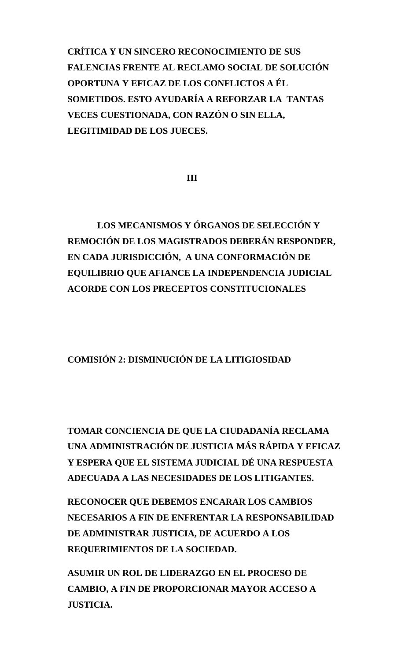**CRÍTICA Y UN SINCERO RECONOCIMIENTO DE SUS FALENCIAS FRENTE AL RECLAMO SOCIAL DE SOLUCIÓN OPORTUNA Y EFICAZ DE LOS CONFLICTOS A ÉL SOMETIDOS. ESTO AYUDARÍA A REFORZAR LA TANTAS VECES CUESTIONADA, CON RAZÓN O SIN ELLA, LEGITIMIDAD DE LOS JUECES.** 

 **III** 

 **LOS MECANISMOS Y ÓRGANOS DE SELECCIÓN Y REMOCIÓN DE LOS MAGISTRADOS DEBERÁN RESPONDER, EN CADA JURISDICCIÓN, A UNA CONFORMACIÓN DE EQUILIBRIO QUE AFIANCE LA INDEPENDENCIA JUDICIAL ACORDE CON LOS PRECEPTOS CONSTITUCIONALES** 

**COMISIÓN 2: DISMINUCIÓN DE LA LITIGIOSIDAD** 

**TOMAR CONCIENCIA DE QUE LA CIUDADANÍA RECLAMA UNA ADMINISTRACIÓN DE JUSTICIA MÁS RÁPIDA Y EFICAZ Y ESPERA QUE EL SISTEMA JUDICIAL DÉ UNA RESPUESTA ADECUADA A LAS NECESIDADES DE LOS LITIGANTES.** 

**RECONOCER QUE DEBEMOS ENCARAR LOS CAMBIOS NECESARIOS A FIN DE ENFRENTAR LA RESPONSABILIDAD DE ADMINISTRAR JUSTICIA, DE ACUERDO A LOS REQUERIMIENTOS DE LA SOCIEDAD.** 

**ASUMIR UN ROL DE LIDERAZGO EN EL PROCESO DE CAMBIO, A FIN DE PROPORCIONAR MAYOR ACCESO A JUSTICIA.**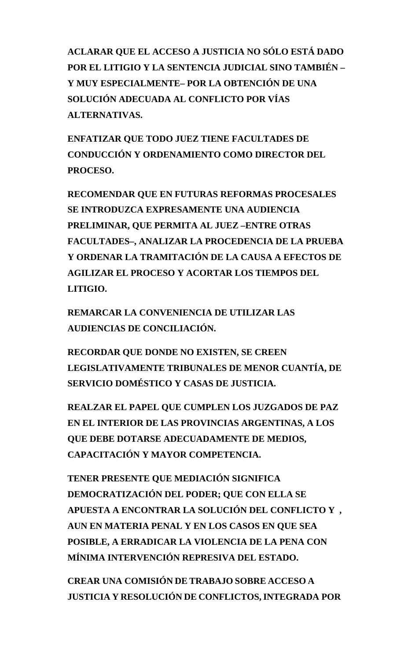**ACLARAR QUE EL ACCESO A JUSTICIA NO SÓLO ESTÁ DADO POR EL LITIGIO Y LA SENTENCIA JUDICIAL SINO TAMBIÉN – Y MUY ESPECIALMENTE– POR LA OBTENCIÓN DE UNA SOLUCIÓN ADECUADA AL CONFLICTO POR VÍAS ALTERNATIVAS.** 

**ENFATIZAR QUE TODO JUEZ TIENE FACULTADES DE CONDUCCIÓN Y ORDENAMIENTO COMO DIRECTOR DEL PROCESO.** 

**RECOMENDAR QUE EN FUTURAS REFORMAS PROCESALES SE INTRODUZCA EXPRESAMENTE UNA AUDIENCIA PRELIMINAR, QUE PERMITA AL JUEZ –ENTRE OTRAS FACULTADES–, ANALIZAR LA PROCEDENCIA DE LA PRUEBA Y ORDENAR LA TRAMITACIÓN DE LA CAUSA A EFECTOS DE AGILIZAR EL PROCESO Y ACORTAR LOS TIEMPOS DEL LITIGIO.** 

**REMARCAR LA CONVENIENCIA DE UTILIZAR LAS AUDIENCIAS DE CONCILIACIÓN.** 

**RECORDAR QUE DONDE NO EXISTEN, SE CREEN LEGISLATIVAMENTE TRIBUNALES DE MENOR CUANTÍA, DE SERVICIO DOMÉSTICO Y CASAS DE JUSTICIA.** 

**REALZAR EL PAPEL QUE CUMPLEN LOS JUZGADOS DE PAZ EN EL INTERIOR DE LAS PROVINCIAS ARGENTINAS, A LOS QUE DEBE DOTARSE ADECUADAMENTE DE MEDIOS, CAPACITACIÓN Y MAYOR COMPETENCIA.** 

**TENER PRESENTE QUE MEDIACIÓN SIGNIFICA DEMOCRATIZACIÓN DEL PODER; QUE CON ELLA SE APUESTA A ENCONTRAR LA SOLUCIÓN DEL CONFLICTO Y , AUN EN MATERIA PENAL Y EN LOS CASOS EN QUE SEA POSIBLE, A ERRADICAR LA VIOLENCIA DE LA PENA CON MÍNIMA INTERVENCIÓN REPRESIVA DEL ESTADO.** 

**CREAR UNA COMISIÓN DE TRABAJO SOBRE ACCESO A JUSTICIA Y RESOLUCIÓN DE CONFLICTOS,INTEGRADA POR**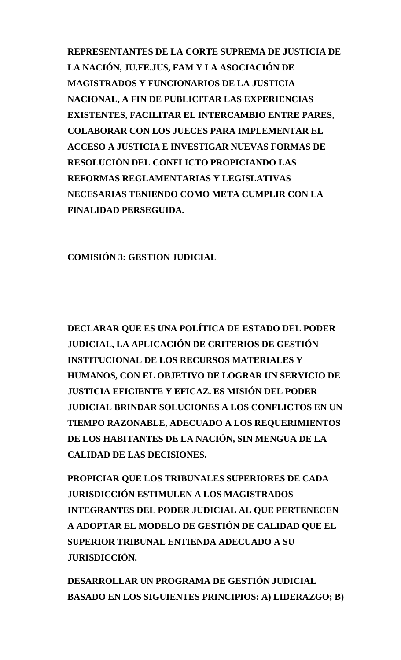**REPRESENTANTES DE LA CORTE SUPREMA DE JUSTICIA DE LA NACIÓN, JU.FE.JUS, FAM Y LA ASOCIACIÓN DE MAGISTRADOS Y FUNCIONARIOS DE LA JUSTICIA NACIONAL, A FIN DE PUBLICITAR LAS EXPERIENCIAS EXISTENTES, FACILITAR EL INTERCAMBIO ENTRE PARES, COLABORAR CON LOS JUECES PARA IMPLEMENTAR EL ACCESO A JUSTICIA E INVESTIGAR NUEVAS FORMAS DE RESOLUCIÓN DEL CONFLICTO PROPICIANDO LAS REFORMAS REGLAMENTARIAS Y LEGISLATIVAS NECESARIAS TENIENDO COMO META CUMPLIR CON LA FINALIDAD PERSEGUIDA.** 

**COMISIÓN 3: GESTION JUDICIAL** 

**DECLARAR QUE ES UNA POLÍTICA DE ESTADO DEL PODER JUDICIAL, LA APLICACIÓN DE CRITERIOS DE GESTIÓN INSTITUCIONAL DE LOS RECURSOS MATERIALES Y HUMANOS, CON EL OBJETIVO DE LOGRAR UN SERVICIO DE JUSTICIA EFICIENTE Y EFICAZ. ES MISIÓN DEL PODER JUDICIAL BRINDAR SOLUCIONES A LOS CONFLICTOS EN UN TIEMPO RAZONABLE, ADECUADO A LOS REQUERIMIENTOS DE LOS HABITANTES DE LA NACIÓN, SIN MENGUA DE LA CALIDAD DE LAS DECISIONES.** 

**PROPICIAR QUE LOS TRIBUNALES SUPERIORES DE CADA JURISDICCIÓN ESTIMULEN A LOS MAGISTRADOS INTEGRANTES DEL PODER JUDICIAL AL QUE PERTENECEN A ADOPTAR EL MODELO DE GESTIÓN DE CALIDAD QUE EL SUPERIOR TRIBUNAL ENTIENDA ADECUADO A SU JURISDICCIÓN.** 

**DESARROLLAR UN PROGRAMA DE GESTIÓN JUDICIAL BASADO EN LOS SIGUIENTES PRINCIPIOS: A) LIDERAZGO; B)**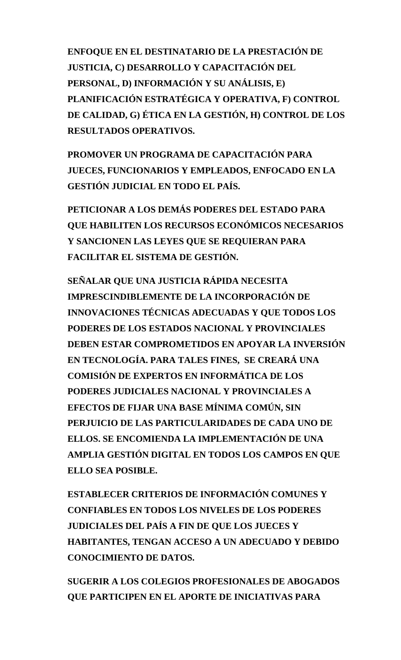**ENFOQUE EN EL DESTINATARIO DE LA PRESTACIÓN DE JUSTICIA, C) DESARROLLO Y CAPACITACIÓN DEL PERSONAL, D) INFORMACIÓN Y SU ANÁLISIS, E) PLANIFICACIÓN ESTRATÉGICA Y OPERATIVA, F) CONTROL DE CALIDAD, G) ÉTICA EN LA GESTIÓN, H) CONTROL DE LOS RESULTADOS OPERATIVOS.** 

**PROMOVER UN PROGRAMA DE CAPACITACIÓN PARA JUECES, FUNCIONARIOS Y EMPLEADOS, ENFOCADO EN LA GESTIÓN JUDICIAL EN TODO EL PAÍS.** 

**PETICIONAR A LOS DEMÁS PODERES DEL ESTADO PARA QUE HABILITEN LOS RECURSOS ECONÓMICOS NECESARIOS Y SANCIONEN LAS LEYES QUE SE REQUIERAN PARA FACILITAR EL SISTEMA DE GESTIÓN.** 

**SEÑALAR QUE UNA JUSTICIA RÁPIDA NECESITA IMPRESCINDIBLEMENTE DE LA INCORPORACIÓN DE INNOVACIONES TÉCNICAS ADECUADAS Y QUE TODOS LOS PODERES DE LOS ESTADOS NACIONAL Y PROVINCIALES DEBEN ESTAR COMPROMETIDOS EN APOYAR LA INVERSIÓN EN TECNOLOGÍA. PARA TALES FINES, SE CREARÁ UNA COMISIÓN DE EXPERTOS EN INFORMÁTICA DE LOS PODERES JUDICIALES NACIONAL Y PROVINCIALES A EFECTOS DE FIJAR UNA BASE MÍNIMA COMÚN, SIN PERJUICIO DE LAS PARTICULARIDADES DE CADA UNO DE ELLOS. SE ENCOMIENDA LA IMPLEMENTACIÓN DE UNA AMPLIA GESTIÓN DIGITAL EN TODOS LOS CAMPOS EN QUE ELLO SEA POSIBLE.** 

**ESTABLECER CRITERIOS DE INFORMACIÓN COMUNES Y CONFIABLES EN TODOS LOS NIVELES DE LOS PODERES JUDICIALES DEL PAÍS A FIN DE QUE LOS JUECES Y HABITANTES, TENGAN ACCESO A UN ADECUADO Y DEBIDO CONOCIMIENTO DE DATOS.** 

**SUGERIR A LOS COLEGIOS PROFESIONALES DE ABOGADOS QUE PARTICIPEN EN EL APORTE DE INICIATIVAS PARA**